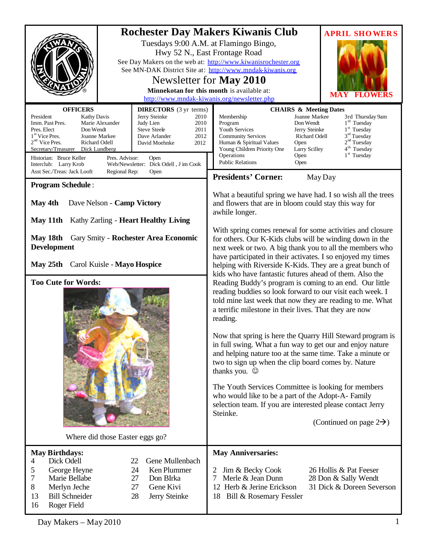|                                                                                                                                                                                                                                                                                                                                                                                                                                                                                                                                            | <b>Rochester Day Makers Kiwanis Club</b><br><b>APRIL SHOWERS</b><br>Tuesdays 9:00 A.M. at Flamingo Bingo,<br>Hwy 52 N., East Frontage Road<br>See Day Makers on the web at: http://www.kiwanisrochester.org<br>See MN-DAK District Site at: http://www.mndak-kiwanis.org<br>Newsletter for May 2010<br>Minnekotan for this month is available at:<br><b>MAY</b><br>http://www.mndak-kiwanis.org/newsletter.php                                                                                                                                                                                                                                                                                                                                                                                                         |  |
|--------------------------------------------------------------------------------------------------------------------------------------------------------------------------------------------------------------------------------------------------------------------------------------------------------------------------------------------------------------------------------------------------------------------------------------------------------------------------------------------------------------------------------------------|------------------------------------------------------------------------------------------------------------------------------------------------------------------------------------------------------------------------------------------------------------------------------------------------------------------------------------------------------------------------------------------------------------------------------------------------------------------------------------------------------------------------------------------------------------------------------------------------------------------------------------------------------------------------------------------------------------------------------------------------------------------------------------------------------------------------|--|
| <b>OFFICERS</b><br><b>DIRECTORS</b> (3 yr terms)<br>President<br>Jerry Steinke<br><b>Kathy Davis</b><br>Imm. Past Pres.<br>Marie Alexander<br>Judy Lien<br><b>Steve Steele</b><br>Pres. Elect<br>Don Wendt<br>$1st$ Vice Pres.<br>Joanne Markee<br>Dave Arlander<br>$2nd$ Vice Pres.<br>Richard Odell<br>David Moehnke<br>Secretary/Treasurer Dick Lundberg<br>Historian: Bruce Keller<br>Pres. Advisor:<br>Open<br>Web/Newsletter: Dick Odell, J im Cook<br>Interclub: Larry Krob<br>Asst Sec./Treas: Jack Looft<br>Regional Rep:<br>Open | <b>CHAIRS &amp; Meeting Dates</b><br>Joanne Markee<br>2010<br>Membership<br>3rd Thursday 9am<br>$1rd$ Tuesday<br>2010<br>Program<br>Don Wendt<br>$1st$ Tuesday<br>2011<br><b>Youth Services</b><br>Jerry Steinke<br>$3rd$ Tuesday<br>2012<br><b>Community Services</b><br>Richard Odell<br>2 <sup>nd</sup> Tuesday<br>Human & Spiritual Values<br>Open<br>2012<br>4 <sup>th</sup> Tuesday<br>Young Children Priority One<br>Larry Scilley<br>1 <sup>st</sup> Tuesday<br>Operations<br>Open<br><b>Public Relations</b><br>Open                                                                                                                                                                                                                                                                                          |  |
| <b>Program Schedule:</b>                                                                                                                                                                                                                                                                                                                                                                                                                                                                                                                   | <b>Presidents' Corner:</b><br>May Day                                                                                                                                                                                                                                                                                                                                                                                                                                                                                                                                                                                                                                                                                                                                                                                  |  |
| Dave Nelson - Camp Victory<br>May 4th<br>May 11th Kathy Zarling - Heart Healthy Living                                                                                                                                                                                                                                                                                                                                                                                                                                                     | What a beautiful spring we have had. I so wish all the trees<br>and flowers that are in bloom could stay this way for<br>awhile longer.                                                                                                                                                                                                                                                                                                                                                                                                                                                                                                                                                                                                                                                                                |  |
| May 18th<br>Gary Smity - Rochester Area Economic<br><b>Development</b><br>May 25th Carol Kuisle - Mayo Hospice                                                                                                                                                                                                                                                                                                                                                                                                                             | With spring comes renewal for some activities and closure<br>for others. Our K-Kids clubs will be winding down in the<br>next week or two. A big thank you to all the members who<br>have participated in their activates. I so enjoyed my times<br>helping with Riverside K-Kids. They are a great bunch of                                                                                                                                                                                                                                                                                                                                                                                                                                                                                                           |  |
| <b>Too Cute for Words:</b><br>Where did those Easter eggs go?                                                                                                                                                                                                                                                                                                                                                                                                                                                                              | kids who have fantastic futures ahead of them. Also the<br>Reading Buddy's program is coming to an end. Our little<br>reading buddies so look forward to our visit each week. I<br>told mine last week that now they are reading to me. What<br>a terrific milestone in their lives. That they are now<br>reading.<br>Now that spring is here the Quarry Hill Steward program is<br>in full swing. What a fun way to get our and enjoy nature<br>and helping nature too at the same time. Take a minute or<br>two to sign up when the clip board comes by. Nature<br>thanks you. $\odot$<br>The Youth Services Committee is looking for members<br>who would like to be a part of the Adopt-A- Family<br>selection team. If you are interested please contact Jerry<br>Steinke.<br>(Continued on page $2\rightarrow$ ) |  |
| <b>May Birthdays:</b><br>Dick Odell<br>Gene Mullenbach<br>22<br>4<br>5<br>George Heyne<br>24<br>Ken Plummer<br>7<br>Marie Bellabe<br>27<br>Don BIrka<br>8<br>Gene Kivi<br>Merlyn Jeche<br>27<br>13<br><b>Bill Schneider</b><br>28<br>Jerry Steinke<br>16<br>Roger Field                                                                                                                                                                                                                                                                    | <b>May Anniversaries:</b><br>Jim & Becky Cook<br>26 Hollis & Pat Feeser<br>2<br>Merle & Jean Dunn<br>28 Don & Sally Wendt<br>12 Herb & Jerine Erickson<br>31 Dick & Doreen Severson<br>18 Bill & Rosemary Fessler                                                                                                                                                                                                                                                                                                                                                                                                                                                                                                                                                                                                      |  |

 $Day$  Makers – May 2010 1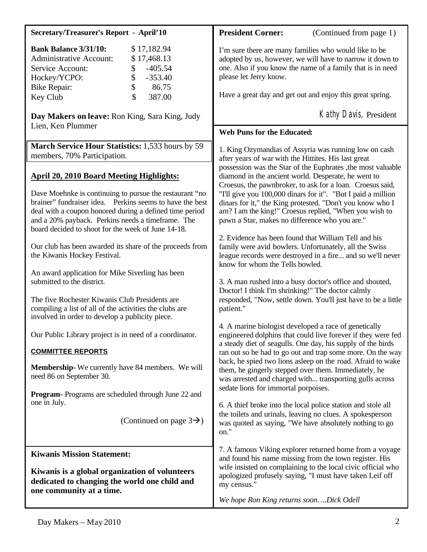| <b>Secretary/Treasurer's Report - April'10</b>                                                                                                                                                                                                                                                                                               | <b>President Corner:</b><br>(Continued from page 1)                                                                                                                                                                                                                                                                                                                                                               |
|----------------------------------------------------------------------------------------------------------------------------------------------------------------------------------------------------------------------------------------------------------------------------------------------------------------------------------------------|-------------------------------------------------------------------------------------------------------------------------------------------------------------------------------------------------------------------------------------------------------------------------------------------------------------------------------------------------------------------------------------------------------------------|
| <b>Bank Balance 3/31/10:</b><br>\$17,182.94<br><b>Administrative Account:</b><br>\$17,468.13<br>$-405.54$<br>Service Account:<br>\$<br>\$<br>$-353.40$<br>Hockey/YCPO:<br>\$<br>86.75<br><b>Bike Repair:</b><br>\$<br>387.00<br>Key Club                                                                                                     | I'm sure there are many families who would like to be<br>adopted by us, however, we will have to narrow it down to<br>one. Also if you know the name of a family that is in need<br>please let Jerry know.<br>Have a great day and get out and enjoy this great spring.                                                                                                                                           |
| Day Makers on leave: Ron King, Sara King, Judy                                                                                                                                                                                                                                                                                               | Kathy Davis, President                                                                                                                                                                                                                                                                                                                                                                                            |
| Lien, Ken Plummer                                                                                                                                                                                                                                                                                                                            | Web Puns for the Educated:                                                                                                                                                                                                                                                                                                                                                                                        |
| March Service Hour Statistics: 1,533 hours by 59<br>members, 70% Participation.                                                                                                                                                                                                                                                              | 1. King Ozymandias of Assyria was running low on cash<br>after years of war with the Hittites. His last great<br>possession was the Star of the Euphrates , the most valuable                                                                                                                                                                                                                                     |
| <b>April 20, 2010 Board Meeting Highlights:</b><br>Dave Moehnke is continuing to pursue the restaurant "no<br>brainer" fundraiser idea. Perkins seems to have the best<br>deal with a coupon honored during a defined time period<br>and a 20% payback. Perkins needs a timeframe. The<br>board decided to shoot for the week of June 14-18. | diamond in the ancient world. Desperate, he went to<br>Croesus, the pawnbroker, to ask for a loan. Croesus said,<br>"I'll give you 100,000 dinars for it". "But I paid a million<br>dinars for it," the King protested. "Don't you know who I<br>am? I am the king!" Croesus replied, "When you wish to<br>pawn a Star, makes no difference who you are."<br>2. Evidence has been found that William Tell and his |
| Our club has been awarded its share of the proceeds from<br>the Kiwanis Hockey Festival.                                                                                                                                                                                                                                                     | family were avid bowlers. Unfortunately, all the Swiss<br>league records were destroyed in a fire and so we'll never<br>know for whom the Tells bowled.                                                                                                                                                                                                                                                           |
| An award application for Mike Siverling has been<br>submitted to the district.<br>The five Rochester Kiwanis Club Presidents are<br>compiling a list of all of the activities the clubs are                                                                                                                                                  | 3. A man rushed into a busy doctor's office and shouted,<br>Doctor! I think I'm shrinking!" The doctor calmly<br>responded, "Now, settle down. You'll just have to be a little<br>patient."                                                                                                                                                                                                                       |
| involved in order to develop a publicity piece.<br>Our Public Library project is in need of a coordinator.                                                                                                                                                                                                                                   | 4. A marine biologist developed a race of genetically<br>engineered dolphins that could live forever if they were fed                                                                                                                                                                                                                                                                                             |
| <b>COMMITTEE REPORTS</b>                                                                                                                                                                                                                                                                                                                     | a steady diet of seagulls. One day, his supply of the birds<br>ran out so he had to go out and trap some more. On the way                                                                                                                                                                                                                                                                                         |
| <b>Membership-</b> We currently have 84 members. We will<br>need 86 on September 30.                                                                                                                                                                                                                                                         | back, he spied two lions asleep on the road. Afraid to wake<br>them, he gingerly stepped over them. Immediately, he<br>was arrested and charged with transporting gulls across<br>sedate lions for immortal porpoises.                                                                                                                                                                                            |
| <b>Program-</b> Programs are scheduled through June 22 and<br>one in July.                                                                                                                                                                                                                                                                   | 6. A thief broke into the local police station and stole all                                                                                                                                                                                                                                                                                                                                                      |
| (Continued on page $3\rightarrow$ )                                                                                                                                                                                                                                                                                                          | the toilets and urinals, leaving no clues. A spokesperson<br>was quoted as saying, "We have absolutely nothing to go<br>on."                                                                                                                                                                                                                                                                                      |
| <b>Kiwanis Mission Statement:</b><br>Kiwanis is a global organization of volunteers<br>dedicated to changing the world one child and<br>one community at a time.                                                                                                                                                                             | 7. A famous Viking explorer returned home from a voyage<br>and found his name missing from the town register. His<br>wife insisted on complaining to the local civic official who<br>apologized profusely saying, "I must have taken Leif off<br>my census."<br>We hope Ron King returns soonDick Odell                                                                                                           |
|                                                                                                                                                                                                                                                                                                                                              |                                                                                                                                                                                                                                                                                                                                                                                                                   |